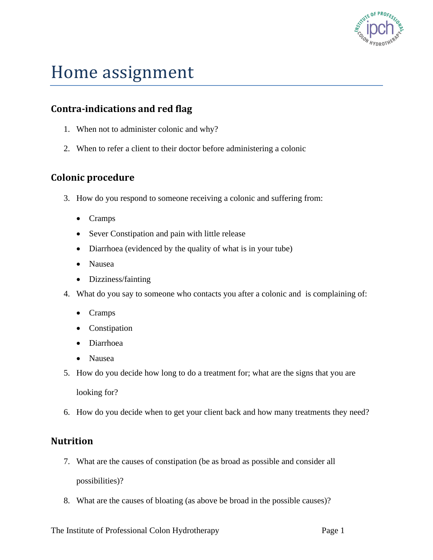

# Home assignment

## **Contra-indications and red flag**

- 1. When not to administer colonic and why?
- 2. When to refer a client to their doctor before administering a colonic

## **Colonic procedure**

- 3. How do you respond to someone receiving a colonic and suffering from:
	- Cramps
	- Sever Constipation and pain with little release
	- Diarrhoea (evidenced by the quality of what is in your tube)
	- Nausea
	- Dizziness/fainting
- 4. What do you say to someone who contacts you after a colonic and is complaining of:
	- Cramps
	- Constipation
	- Diarrhoea
	- Nausea
- 5. How do you decide how long to do a treatment for; what are the signs that you are

looking for?

6. How do you decide when to get your client back and how many treatments they need?

#### **Nutrition**

- 7. What are the causes of constipation (be as broad as possible and consider all possibilities)?
- 8. What are the causes of bloating (as above be broad in the possible causes)?

The Institute of Professional Colon Hydrotherapy Page 1